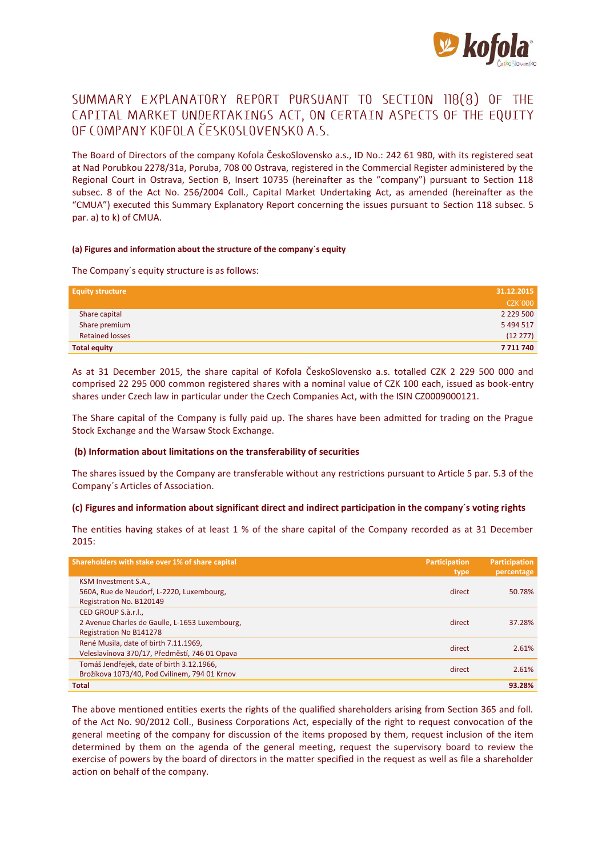

# SUMMARY EXPLANATORY REPORT PURSUANT TO SECTION 118(8) OF THE CAPITAL MARKET UNDERTAKINGS ACT, ON CERTAIN ASPECTS OF THE EQUITY OF COMPANY KOFOLA ČESKOSLOVENSKO A.S.

The Board of Directors of the company Kofola ČeskoSlovensko a.s., ID No.: 242 61 980, with its registered seat at Nad Porubkou 2278/31a, Poruba, 708 00 Ostrava, registered in the Commercial Register administered by the Regional Court in Ostrava, Section B, Insert 10735 (hereinafter as the "company") pursuant to Section 118 subsec. 8 of the Act No. 256/2004 Coll., Capital Market Undertaking Act, as amended (hereinafter as the "CMUA") executed this Summary Explanatory Report concerning the issues pursuant to Section 118 subsec. 5 par. a) to k) of CMUA.

#### **(a) Figures and information about the structure of the company´s equity**

The Company´s equity structure is as follows:

| <b>Equity structure</b> | 31.12.2015     |
|-------------------------|----------------|
|                         | <b>CZK'000</b> |
| Share capital           | 2 2 2 9 5 0 0  |
| Share premium           | 5 4 9 4 5 1 7  |
| <b>Retained losses</b>  | (12 277)       |
| <b>Total equity</b>     | 7711740        |

As at 31 December 2015, the share capital of Kofola ČeskoSlovensko a.s. totalled CZK 2 229 500 000 and comprised 22 295 000 common registered shares with a nominal value of CZK 100 each, issued as book-entry shares under Czech law in particular under the Czech Companies Act, with the ISIN CZ0009000121.

The Share capital of the Company is fully paid up. The shares have been admitted for trading on the Prague Stock Exchange and the Warsaw Stock Exchange.

# **(b) Information about limitations on the transferability of securities**

The shares issued by the Company are transferable without any restrictions pursuant to Article 5 par. 5.3 of the Company´s Articles of Association.

#### **(c) Figures and information about significant direct and indirect participation in the company´s voting rights**

The entities having stakes of at least 1 % of the share capital of the Company recorded as at 31 December 2015:

| Shareholders with stake over 1% of share capital                                               | <b>Participation</b><br>type | Participation<br>percentage |
|------------------------------------------------------------------------------------------------|------------------------------|-----------------------------|
| KSM Investment S.A.,<br>560A, Rue de Neudorf, L-2220, Luxembourg,<br>Registration No. B120149  | direct                       | 50.78%                      |
| CED GROUP S.à.r.l<br>2 Avenue Charles de Gaulle, L-1653 Luxembourg,<br>Registration No B141278 | direct                       | 37.28%                      |
| René Musila, date of birth 7.11.1969,<br>Veleslavínova 370/17, Předměstí, 746 01 Opava         | direct                       | 2.61%                       |
| Tomáš Jendřejek, date of birth 3.12.1966,<br>Brožíkova 1073/40, Pod Cvilínem, 794 01 Krnov     | direct                       | 2.61%                       |
| <b>Total</b>                                                                                   |                              | 93.28%                      |

The above mentioned entities exerts the rights of the qualified shareholders arising from Section 365 and foll. of the Act No. 90/2012 Coll., Business Corporations Act, especially of the right to request convocation of the general meeting of the company for discussion of the items proposed by them, request inclusion of the item determined by them on the agenda of the general meeting, request the supervisory board to review the exercise of powers by the board of directors in the matter specified in the request as well as file a shareholder action on behalf of the company.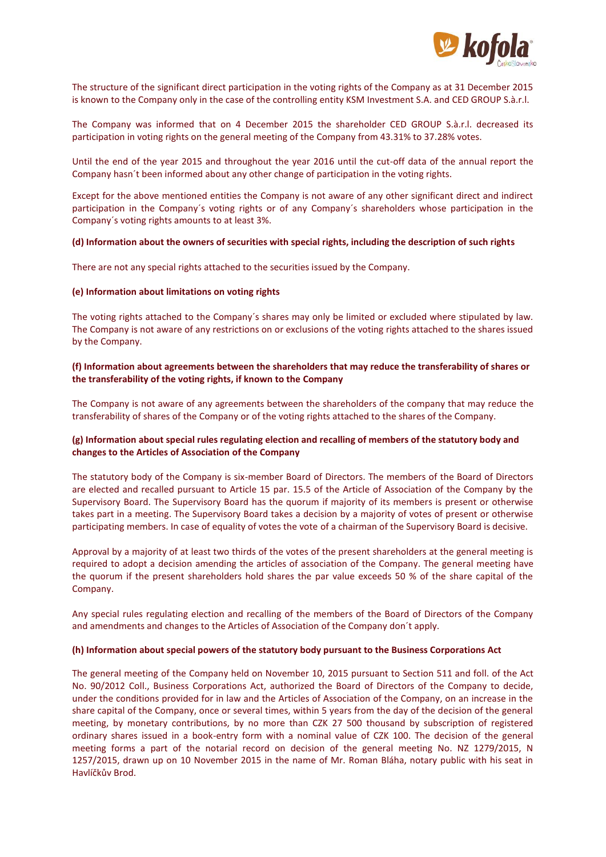

The structure of the significant direct participation in the voting rights of the Company as at 31 December 2015 is known to the Company only in the case of the controlling entity KSM Investment S.A. and CED GROUP S.à.r.l.

The Company was informed that on 4 December 2015 the shareholder CED GROUP S.à.r.l. decreased its participation in voting rights on the general meeting of the Company from 43.31% to 37.28% votes.

Until the end of the year 2015 and throughout the year 2016 until the cut-off data of the annual report the Company hasn´t been informed about any other change of participation in the voting rights.

Except for the above mentioned entities the Company is not aware of any other significant direct and indirect participation in the Company´s voting rights or of any Company´s shareholders whose participation in the Company´s voting rights amounts to at least 3%.

#### **(d) Information about the owners of securities with special rights, including the description of such rights**

There are not any special rights attached to the securities issued by the Company.

#### **(e) Information about limitations on voting rights**

The voting rights attached to the Company´s shares may only be limited or excluded where stipulated by law. The Company is not aware of any restrictions on or exclusions of the voting rights attached to the shares issued by the Company.

# **(f) Information about agreements between the shareholders that may reduce the transferability of shares or the transferability of the voting rights, if known to the Company**

The Company is not aware of any agreements between the shareholders of the company that may reduce the transferability of shares of the Company or of the voting rights attached to the shares of the Company.

# **(g) Information about special rules regulating election and recalling of members of the statutory body and changes to the Articles of Association of the Company**

The statutory body of the Company is six-member Board of Directors. The members of the Board of Directors are elected and recalled pursuant to Article 15 par. 15.5 of the Article of Association of the Company by the Supervisory Board. The Supervisory Board has the quorum if majority of its members is present or otherwise takes part in a meeting. The Supervisory Board takes a decision by a majority of votes of present or otherwise participating members. In case of equality of votes the vote of a chairman of the Supervisory Board is decisive.

Approval by a majority of at least two thirds of the votes of the present shareholders at the general meeting is required to adopt a decision amending the articles of association of the Company. The general meeting have the quorum if the present shareholders hold shares the par value exceeds 50 % of the share capital of the Company.

Any special rules regulating election and recalling of the members of the Board of Directors of the Company and amendments and changes to the Articles of Association of the Company don´t apply.

#### **(h) Information about special powers of the statutory body pursuant to the Business Corporations Act**

The general meeting of the Company held on November 10, 2015 pursuant to Section 511 and foll. of the Act No. 90/2012 Coll., Business Corporations Act, authorized the Board of Directors of the Company to decide, under the conditions provided for in law and the Articles of Association of the Company, on an increase in the share capital of the Company, once or several times, within 5 years from the day of the decision of the general meeting, by monetary contributions, by no more than CZK 27 500 thousand by subscription of registered ordinary shares issued in a book-entry form with a nominal value of CZK 100. The decision of the general meeting forms a part of the notarial record on decision of the general meeting No. NZ 1279/2015, N 1257/2015, drawn up on 10 November 2015 in the name of Mr. Roman Bláha, notary public with his seat in Havlíčkův Brod.